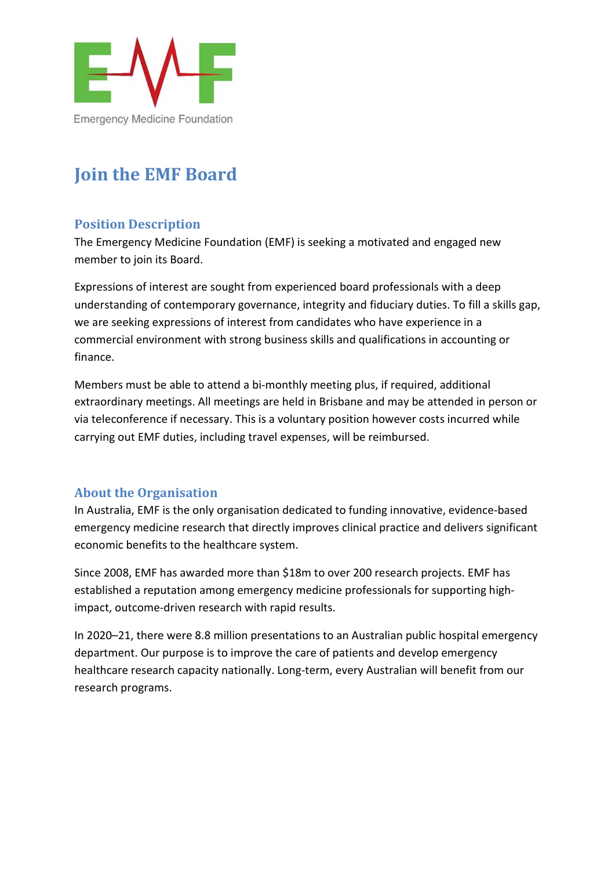

## Join the EMF Board

## Position Description

The Emergency Medicine Foundation (EMF) is seeking a motivated and engaged new member to join its Board.

Expressions of interest are sought from experienced board professionals with a deep understanding of contemporary governance, integrity and fiduciary duties. To fill a skills gap, we are seeking expressions of interest from candidates who have experience in a commercial environment with strong business skills and qualifications in accounting or finance.

Members must be able to attend a bi-monthly meeting plus, if required, additional extraordinary meetings. All meetings are held in Brisbane and may be attended in person or via teleconference if necessary. This is a voluntary position however costs incurred while carrying out EMF duties, including travel expenses, will be reimbursed.

## About the Organisation

In Australia, EMF is the only organisation dedicated to funding innovative, evidence-based emergency medicine research that directly improves clinical practice and delivers significant economic benefits to the healthcare system.

Since 2008, EMF has awarded more than \$18m to over 200 research projects. EMF has established a reputation among emergency medicine professionals for supporting highimpact, outcome-driven research with rapid results.

In 2020–21, there were 8.8 million presentations to an Australian public hospital emergency department. Our purpose is to improve the care of patients and develop emergency healthcare research capacity nationally. Long-term, every Australian will benefit from our research programs.